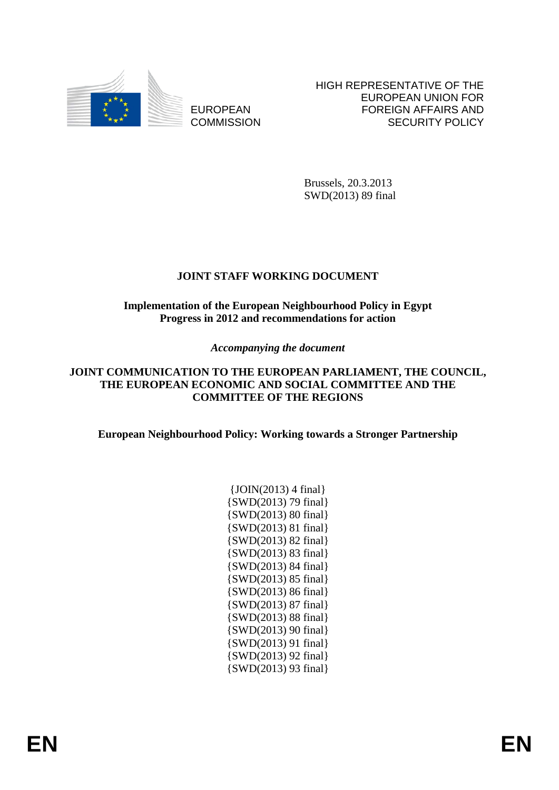

EUROPEAN **COMMISSION**  HIGH REPRESENTATIVE OF THE EUROPEAN UNION FOR FOREIGN AFFAIRS AND SECURITY POLICY

Brussels, 20.3.2013 SWD(2013) 89 final

# **JOINT STAFF WORKING DOCUMENT**

## **Implementation of the European Neighbourhood Policy in Egypt Progress in 2012 and recommendations for action**

# *Accompanying the document*

## **JOINT COMMUNICATION TO THE EUROPEAN PARLIAMENT, THE COUNCIL, THE EUROPEAN ECONOMIC AND SOCIAL COMMITTEE AND THE COMMITTEE OF THE REGIONS**

**European Neighbourhood Policy: Working towards a Stronger Partnership** 

| $\{JOIN(2013)$ 4 final            |
|-----------------------------------|
| {SWD(2013) 79 final}              |
| $\{SWD(2013) 80 \text{ final}\}\$ |
| $\{SWD(2013) 81 final\}$          |
| {SWD(2013) 82 final}              |
| $\{SWD(2013) 83 final\}$          |
| $\{SWD(2013) 84 final\}$          |
| $\{SWD(2013) 85 \text{ final}\}$  |
| $\{SWD(2013) 86 final\}$          |
| {SWD(2013) 87 final}              |
| $\{SWD(2013) 88 final\}$          |
| $\{SWD(2013) 90 final\}$          |
| {SWD(2013) 91 final}              |
| {SWD(2013) 92 final}              |
| $\{SWD(2013) 93 final\}$          |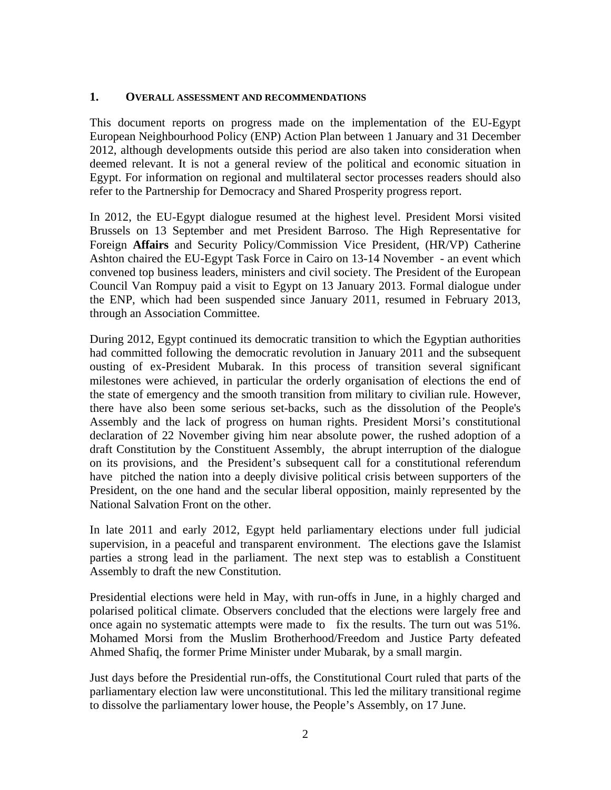#### **1. OVERALL ASSESSMENT AND RECOMMENDATIONS**

This document reports on progress made on the implementation of the EU-Egypt European Neighbourhood Policy (ENP) Action Plan between 1 January and 31 December 2012, although developments outside this period are also taken into consideration when deemed relevant. It is not a general review of the political and economic situation in Egypt. For information on regional and multilateral sector processes readers should also refer to the Partnership for Democracy and Shared Prosperity progress report.

In 2012, the EU-Egypt dialogue resumed at the highest level. President Morsi visited Brussels on 13 September and met President Barroso. The High Representative for Foreign **Affairs** and Security Policy/Commission Vice President, (HR/VP) Catherine Ashton chaired the EU-Egypt Task Force in Cairo on 13-14 November - an event which convened top business leaders, ministers and civil society. The President of the European Council Van Rompuy paid a visit to Egypt on 13 January 2013. Formal dialogue under the ENP, which had been suspended since January 2011, resumed in February 2013, through an Association Committee.

During 2012, Egypt continued its democratic transition to which the Egyptian authorities had committed following the democratic revolution in January 2011 and the subsequent ousting of ex-President Mubarak. In this process of transition several significant milestones were achieved, in particular the orderly organisation of elections the end of the state of emergency and the smooth transition from military to civilian rule. However, there have also been some serious set-backs, such as the dissolution of the People's Assembly and the lack of progress on human rights. President Morsi's constitutional declaration of 22 November giving him near absolute power, the rushed adoption of a draft Constitution by the Constituent Assembly, the abrupt interruption of the dialogue on its provisions, and the President's subsequent call for a constitutional referendum have pitched the nation into a deeply divisive political crisis between supporters of the President, on the one hand and the secular liberal opposition, mainly represented by the National Salvation Front on the other.

In late 2011 and early 2012, Egypt held parliamentary elections under full judicial supervision, in a peaceful and transparent environment. The elections gave the Islamist parties a strong lead in the parliament. The next step was to establish a Constituent Assembly to draft the new Constitution.

Presidential elections were held in May, with run-offs in June, in a highly charged and polarised political climate. Observers concluded that the elections were largely free and once again no systematic attempts were made to fix the results. The turn out was 51%. Mohamed Morsi from the Muslim Brotherhood/Freedom and Justice Party defeated Ahmed Shafiq, the former Prime Minister under Mubarak, by a small margin.

Just days before the Presidential run-offs, the Constitutional Court ruled that parts of the parliamentary election law were unconstitutional. This led the military transitional regime to dissolve the parliamentary lower house, the People's Assembly, on 17 June.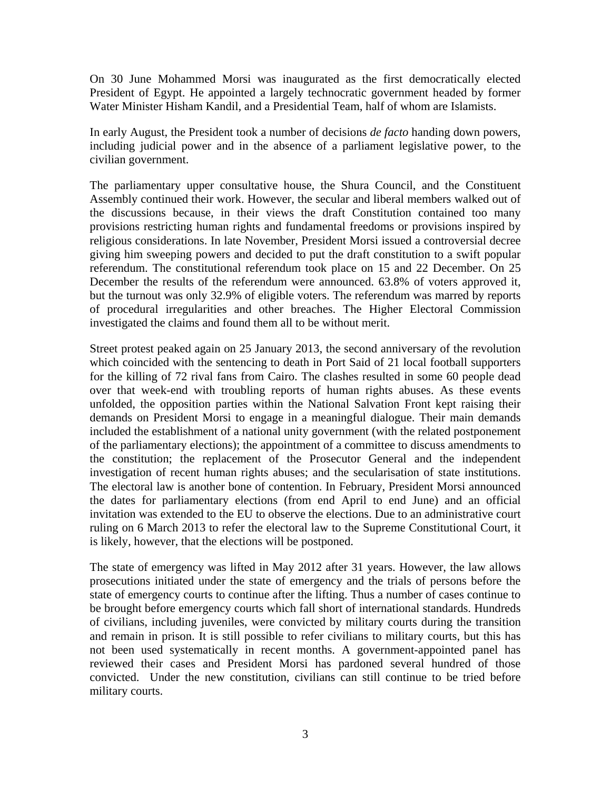On 30 June Mohammed Morsi was inaugurated as the first democratically elected President of Egypt. He appointed a largely technocratic government headed by former Water Minister Hisham Kandil, and a Presidential Team, half of whom are Islamists.

In early August, the President took a number of decisions *de facto* handing down powers, including judicial power and in the absence of a parliament legislative power, to the civilian government.

The parliamentary upper consultative house, the Shura Council, and the Constituent Assembly continued their work. However, the secular and liberal members walked out of the discussions because, in their views the draft Constitution contained too many provisions restricting human rights and fundamental freedoms or provisions inspired by religious considerations. In late November, President Morsi issued a controversial decree giving him sweeping powers and decided to put the draft constitution to a swift popular referendum. The constitutional referendum took place on 15 and 22 December. On 25 December the results of the referendum were announced. 63.8% of voters approved it, but the turnout was only 32.9% of eligible voters. The referendum was marred by reports of procedural irregularities and other breaches. The Higher Electoral Commission investigated the claims and found them all to be without merit.

Street protest peaked again on 25 January 2013, the second anniversary of the revolution which coincided with the sentencing to death in Port Said of 21 local football supporters for the killing of 72 rival fans from Cairo. The clashes resulted in some 60 people dead over that week-end with troubling reports of human rights abuses. As these events unfolded, the opposition parties within the National Salvation Front kept raising their demands on President Morsi to engage in a meaningful dialogue. Their main demands included the establishment of a national unity government (with the related postponement of the parliamentary elections); the appointment of a committee to discuss amendments to the constitution; the replacement of the Prosecutor General and the independent investigation of recent human rights abuses; and the secularisation of state institutions. The electoral law is another bone of contention. In February, President Morsi announced the dates for parliamentary elections (from end April to end June) and an official invitation was extended to the EU to observe the elections. Due to an administrative court ruling on 6 March 2013 to refer the electoral law to the Supreme Constitutional Court, it is likely, however, that the elections will be postponed.

The state of emergency was lifted in May 2012 after 31 years. However, the law allows prosecutions initiated under the state of emergency and the trials of persons before the state of emergency courts to continue after the lifting. Thus a number of cases continue to be brought before emergency courts which fall short of international standards. Hundreds of civilians, including juveniles, were convicted by military courts during the transition and remain in prison. It is still possible to refer civilians to military courts, but this has not been used systematically in recent months. A government-appointed panel has reviewed their cases and President Morsi has pardoned several hundred of those convicted. Under the new constitution, civilians can still continue to be tried before military courts.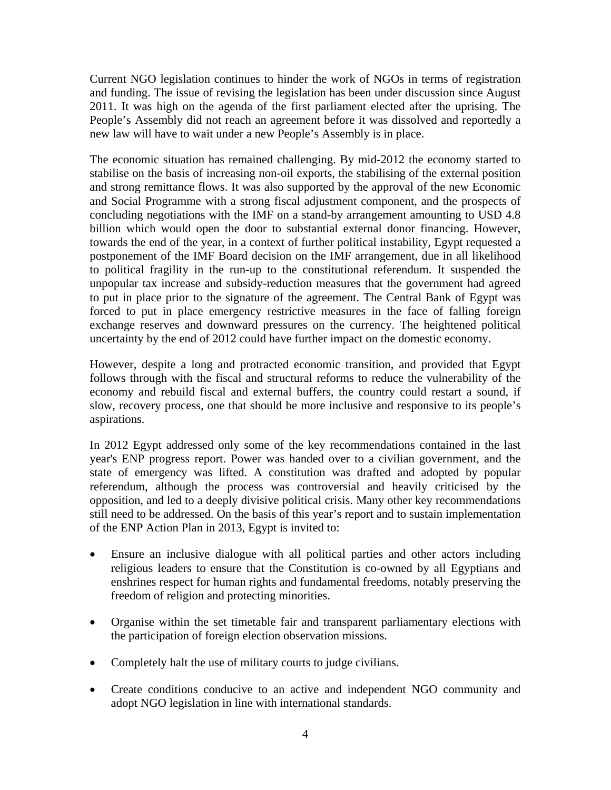Current NGO legislation continues to hinder the work of NGOs in terms of registration and funding. The issue of revising the legislation has been under discussion since August 2011. It was high on the agenda of the first parliament elected after the uprising. The People's Assembly did not reach an agreement before it was dissolved and reportedly a new law will have to wait under a new People's Assembly is in place.

The economic situation has remained challenging. By mid-2012 the economy started to stabilise on the basis of increasing non-oil exports, the stabilising of the external position and strong remittance flows. It was also supported by the approval of the new Economic and Social Programme with a strong fiscal adjustment component, and the prospects of concluding negotiations with the IMF on a stand-by arrangement amounting to USD 4.8 billion which would open the door to substantial external donor financing. However, towards the end of the year, in a context of further political instability, Egypt requested a postponement of the IMF Board decision on the IMF arrangement, due in all likelihood to political fragility in the run-up to the constitutional referendum. It suspended the unpopular tax increase and subsidy-reduction measures that the government had agreed to put in place prior to the signature of the agreement. The Central Bank of Egypt was forced to put in place emergency restrictive measures in the face of falling foreign exchange reserves and downward pressures on the currency. The heightened political uncertainty by the end of 2012 could have further impact on the domestic economy.

However, despite a long and protracted economic transition, and provided that Egypt follows through with the fiscal and structural reforms to reduce the vulnerability of the economy and rebuild fiscal and external buffers, the country could restart a sound, if slow, recovery process, one that should be more inclusive and responsive to its people's aspirations.

In 2012 Egypt addressed only some of the key recommendations contained in the last year's ENP progress report. Power was handed over to a civilian government, and the state of emergency was lifted. A constitution was drafted and adopted by popular referendum, although the process was controversial and heavily criticised by the opposition, and led to a deeply divisive political crisis. Many other key recommendations still need to be addressed. On the basis of this year's report and to sustain implementation of the ENP Action Plan in 2013, Egypt is invited to:

- Ensure an inclusive dialogue with all political parties and other actors including religious leaders to ensure that the Constitution is co-owned by all Egyptians and enshrines respect for human rights and fundamental freedoms, notably preserving the freedom of religion and protecting minorities.
- Organise within the set timetable fair and transparent parliamentary elections with the participation of foreign election observation missions.
- Completely halt the use of military courts to judge civilians.
- Create conditions conducive to an active and independent NGO community and adopt NGO legislation in line with international standards.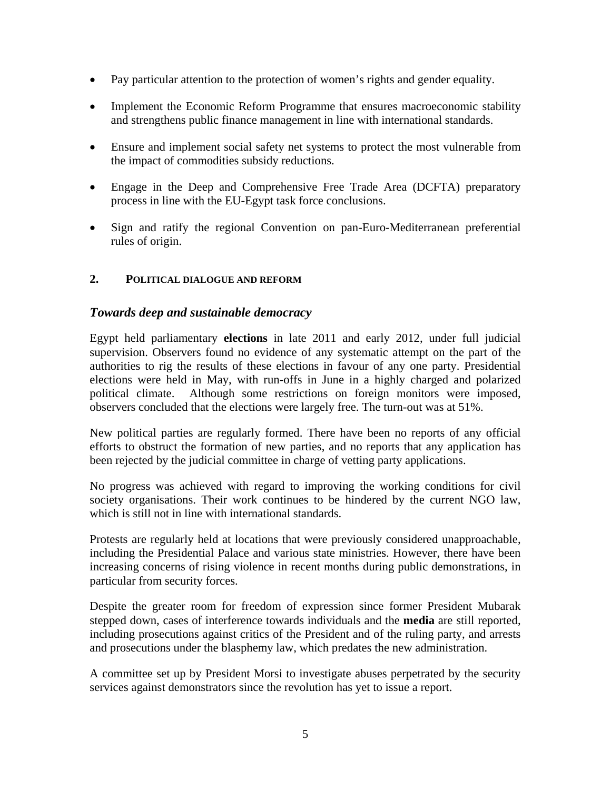- Pay particular attention to the protection of women's rights and gender equality.
- Implement the Economic Reform Programme that ensures macroeconomic stability and strengthens public finance management in line with international standards.
- Ensure and implement social safety net systems to protect the most vulnerable from the impact of commodities subsidy reductions.
- Engage in the Deep and Comprehensive Free Trade Area (DCFTA) preparatory process in line with the EU-Egypt task force conclusions.
- Sign and ratify the regional Convention on pan-Euro-Mediterranean preferential rules of origin.

## **2. POLITICAL DIALOGUE AND REFORM**

## *Towards deep and sustainable democracy*

Egypt held parliamentary **elections** in late 2011 and early 2012, under full judicial supervision. Observers found no evidence of any systematic attempt on the part of the authorities to rig the results of these elections in favour of any one party. Presidential elections were held in May, with run-offs in June in a highly charged and polarized political climate. Although some restrictions on foreign monitors were imposed, observers concluded that the elections were largely free. The turn-out was at 51%.

New political parties are regularly formed. There have been no reports of any official efforts to obstruct the formation of new parties, and no reports that any application has been rejected by the judicial committee in charge of vetting party applications.

No progress was achieved with regard to improving the working conditions for civil society organisations. Their work continues to be hindered by the current NGO law, which is still not in line with international standards.

Protests are regularly held at locations that were previously considered unapproachable, including the Presidential Palace and various state ministries. However, there have been increasing concerns of rising violence in recent months during public demonstrations, in particular from security forces.

Despite the greater room for freedom of expression since former President Mubarak stepped down, cases of interference towards individuals and the **media** are still reported, including prosecutions against critics of the President and of the ruling party, and arrests and prosecutions under the blasphemy law, which predates the new administration.

A committee set up by President Morsi to investigate abuses perpetrated by the security services against demonstrators since the revolution has yet to issue a report.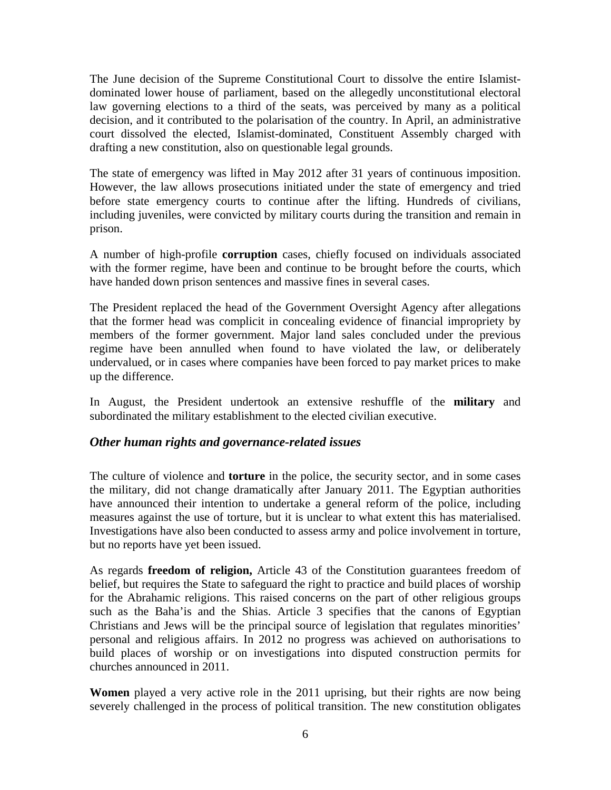The June decision of the Supreme Constitutional Court to dissolve the entire Islamistdominated lower house of parliament, based on the allegedly unconstitutional electoral law governing elections to a third of the seats, was perceived by many as a political decision, and it contributed to the polarisation of the country. In April, an administrative court dissolved the elected, Islamist-dominated, Constituent Assembly charged with drafting a new constitution, also on questionable legal grounds.

The state of emergency was lifted in May 2012 after 31 years of continuous imposition. However, the law allows prosecutions initiated under the state of emergency and tried before state emergency courts to continue after the lifting. Hundreds of civilians, including juveniles, were convicted by military courts during the transition and remain in prison.

A number of high-profile **corruption** cases, chiefly focused on individuals associated with the former regime, have been and continue to be brought before the courts, which have handed down prison sentences and massive fines in several cases.

The President replaced the head of the Government Oversight Agency after allegations that the former head was complicit in concealing evidence of financial impropriety by members of the former government. Major land sales concluded under the previous regime have been annulled when found to have violated the law, or deliberately undervalued, or in cases where companies have been forced to pay market prices to make up the difference.

In August, the President undertook an extensive reshuffle of the **military** and subordinated the military establishment to the elected civilian executive.

## *Other human rights and governance-related issues*

The culture of violence and **torture** in the police, the security sector, and in some cases the military, did not change dramatically after January 2011. The Egyptian authorities have announced their intention to undertake a general reform of the police, including measures against the use of torture, but it is unclear to what extent this has materialised. Investigations have also been conducted to assess army and police involvement in torture, but no reports have yet been issued.

As regards **freedom of religion,** Article 43 of the Constitution guarantees freedom of belief, but requires the State to safeguard the right to practice and build places of worship for the Abrahamic religions. This raised concerns on the part of other religious groups such as the Baha'is and the Shias. Article 3 specifies that the canons of Egyptian Christians and Jews will be the principal source of legislation that regulates minorities' personal and religious affairs. In 2012 no progress was achieved on authorisations to build places of worship or on investigations into disputed construction permits for churches announced in 2011.

**Women** played a very active role in the 2011 uprising, but their rights are now being severely challenged in the process of political transition. The new constitution obligates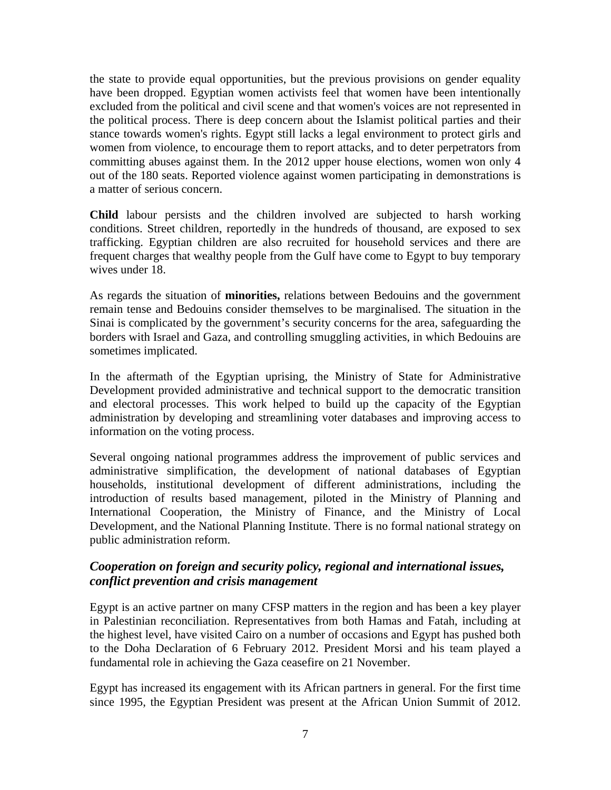the state to provide equal opportunities, but the previous provisions on gender equality have been dropped. Egyptian women activists feel that women have been intentionally excluded from the political and civil scene and that women's voices are not represented in the political process. There is deep concern about the Islamist political parties and their stance towards women's rights. Egypt still lacks a legal environment to protect girls and women from violence, to encourage them to report attacks, and to deter perpetrators from committing abuses against them. In the 2012 upper house elections, women won only 4 out of the 180 seats. Reported violence against women participating in demonstrations is a matter of serious concern.

**Child** labour persists and the children involved are subjected to harsh working conditions. Street children, reportedly in the hundreds of thousand, are exposed to sex trafficking. Egyptian children are also recruited for household services and there are frequent charges that wealthy people from the Gulf have come to Egypt to buy temporary wives under 18.

As regards the situation of **minorities,** relations between Bedouins and the government remain tense and Bedouins consider themselves to be marginalised. The situation in the Sinai is complicated by the government's security concerns for the area, safeguarding the borders with Israel and Gaza, and controlling smuggling activities, in which Bedouins are sometimes implicated.

In the aftermath of the Egyptian uprising, the Ministry of State for Administrative Development provided administrative and technical support to the democratic transition and electoral processes. This work helped to build up the capacity of the Egyptian administration by developing and streamlining voter databases and improving access to information on the voting process.

Several ongoing national programmes address the improvement of public services and administrative simplification, the development of national databases of Egyptian households, institutional development of different administrations, including the introduction of results based management, piloted in the Ministry of Planning and International Cooperation, the Ministry of Finance, and the Ministry of Local Development, and the National Planning Institute. There is no formal national strategy on public administration reform.

# *Cooperation on foreign and security policy, regional and international issues, conflict prevention and crisis management*

Egypt is an active partner on many CFSP matters in the region and has been a key player in Palestinian reconciliation. Representatives from both Hamas and Fatah, including at the highest level, have visited Cairo on a number of occasions and Egypt has pushed both to the Doha Declaration of 6 February 2012. President Morsi and his team played a fundamental role in achieving the Gaza ceasefire on 21 November.

Egypt has increased its engagement with its African partners in general. For the first time since 1995, the Egyptian President was present at the African Union Summit of 2012.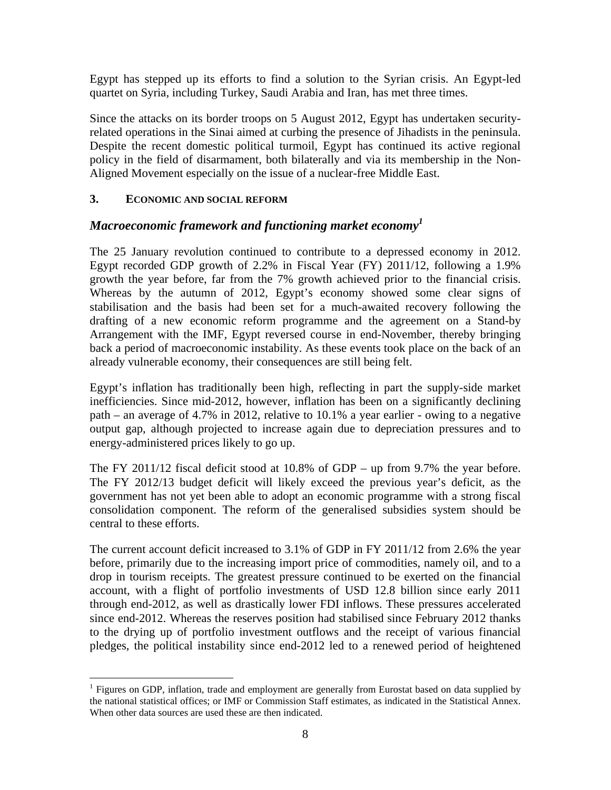Egypt has stepped up its efforts to find a solution to the Syrian crisis. An Egypt-led quartet on Syria, including Turkey, Saudi Arabia and Iran, has met three times.

Since the attacks on its border troops on 5 August 2012, Egypt has undertaken securityrelated operations in the Sinai aimed at curbing the presence of Jihadists in the peninsula. Despite the recent domestic political turmoil, Egypt has continued its active regional policy in the field of disarmament, both bilaterally and via its membership in the Non-Aligned Movement especially on the issue of a nuclear-free Middle East.

### **3. ECONOMIC AND SOCIAL REFORM**

 $\overline{a}$ 

## *Macroeconomic framework and functioning market economy1*

The 25 January revolution continued to contribute to a depressed economy in 2012. Egypt recorded GDP growth of 2.2% in Fiscal Year (FY) 2011/12, following a 1.9% growth the year before, far from the 7% growth achieved prior to the financial crisis. Whereas by the autumn of 2012, Egypt's economy showed some clear signs of stabilisation and the basis had been set for a much-awaited recovery following the drafting of a new economic reform programme and the agreement on a Stand-by Arrangement with the IMF, Egypt reversed course in end-November, thereby bringing back a period of macroeconomic instability. As these events took place on the back of an already vulnerable economy, their consequences are still being felt.

Egypt's inflation has traditionally been high, reflecting in part the supply-side market inefficiencies. Since mid-2012, however, inflation has been on a significantly declining path – an average of 4.7% in 2012, relative to 10.1% a year earlier - owing to a negative output gap, although projected to increase again due to depreciation pressures and to energy-administered prices likely to go up.

The FY 2011/12 fiscal deficit stood at 10.8% of GDP – up from 9.7% the year before. The FY 2012/13 budget deficit will likely exceed the previous year's deficit, as the government has not yet been able to adopt an economic programme with a strong fiscal consolidation component. The reform of the generalised subsidies system should be central to these efforts.

The current account deficit increased to 3.1% of GDP in FY 2011/12 from 2.6% the year before, primarily due to the increasing import price of commodities, namely oil, and to a drop in tourism receipts. The greatest pressure continued to be exerted on the financial account, with a flight of portfolio investments of USD 12.8 billion since early 2011 through end-2012, as well as drastically lower FDI inflows. These pressures accelerated since end-2012. Whereas the reserves position had stabilised since February 2012 thanks to the drying up of portfolio investment outflows and the receipt of various financial pledges, the political instability since end-2012 led to a renewed period of heightened

<sup>&</sup>lt;sup>1</sup> Figures on GDP, inflation, trade and employment are generally from Eurostat based on data supplied by the national statistical offices; or IMF or Commission Staff estimates, as indicated in the Statistical Annex. When other data sources are used these are then indicated.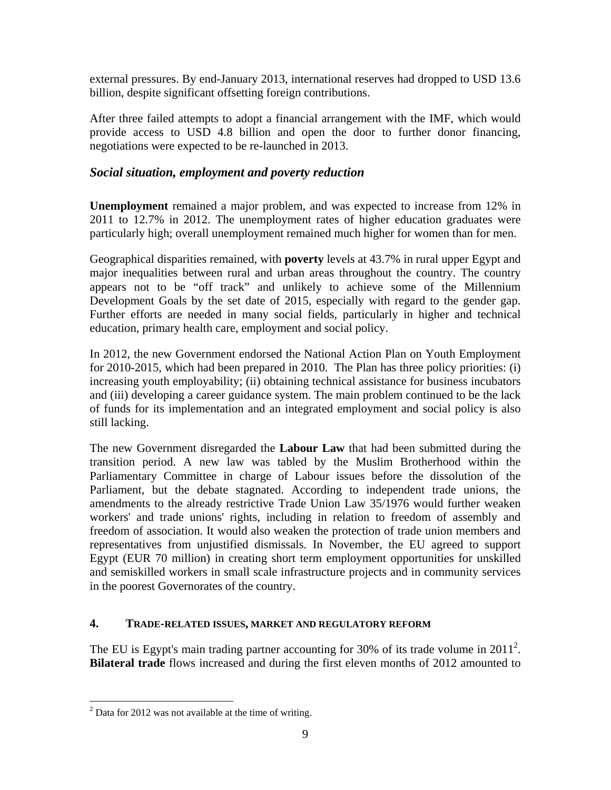external pressures. By end-January 2013, international reserves had dropped to USD 13.6 billion, despite significant offsetting foreign contributions.

After three failed attempts to adopt a financial arrangement with the IMF, which would provide access to USD 4.8 billion and open the door to further donor financing, negotiations were expected to be re-launched in 2013.

## *Social situation, employment and poverty reduction*

**Unemployment** remained a major problem, and was expected to increase from 12% in 2011 to 12.7% in 2012. The unemployment rates of higher education graduates were particularly high; overall unemployment remained much higher for women than for men.

Geographical disparities remained, with **poverty** levels at 43.7% in rural upper Egypt and major inequalities between rural and urban areas throughout the country. The country appears not to be "off track" and unlikely to achieve some of the Millennium Development Goals by the set date of 2015, especially with regard to the gender gap. Further efforts are needed in many social fields, particularly in higher and technical education, primary health care, employment and social policy.

In 2012, the new Government endorsed the National Action Plan on Youth Employment for 2010-2015, which had been prepared in 2010. The Plan has three policy priorities: (i) increasing youth employability; (ii) obtaining technical assistance for business incubators and (iii) developing a career guidance system. The main problem continued to be the lack of funds for its implementation and an integrated employment and social policy is also still lacking.

The new Government disregarded the **Labour Law** that had been submitted during the transition period. A new law was tabled by the Muslim Brotherhood within the Parliamentary Committee in charge of Labour issues before the dissolution of the Parliament, but the debate stagnated. According to independent trade unions, the amendments to the already restrictive Trade Union Law 35/1976 would further weaken workers' and trade unions' rights, including in relation to freedom of assembly and freedom of association. It would also weaken the protection of trade union members and representatives from unjustified dismissals. In November, the EU agreed to support Egypt (EUR 70 million) in creating short term employment opportunities for unskilled and semiskilled workers in small scale infrastructure projects and in community services in the poorest Governorates of the country.

#### **4. TRADE-RELATED ISSUES, MARKET AND REGULATORY REFORM**

The EU is Egypt's main trading partner accounting for 30% of its trade volume in  $2011^2$ . **Bilateral trade** flows increased and during the first eleven months of 2012 amounted to

<u>.</u>

 $2^2$  Data for 2012 was not available at the time of writing.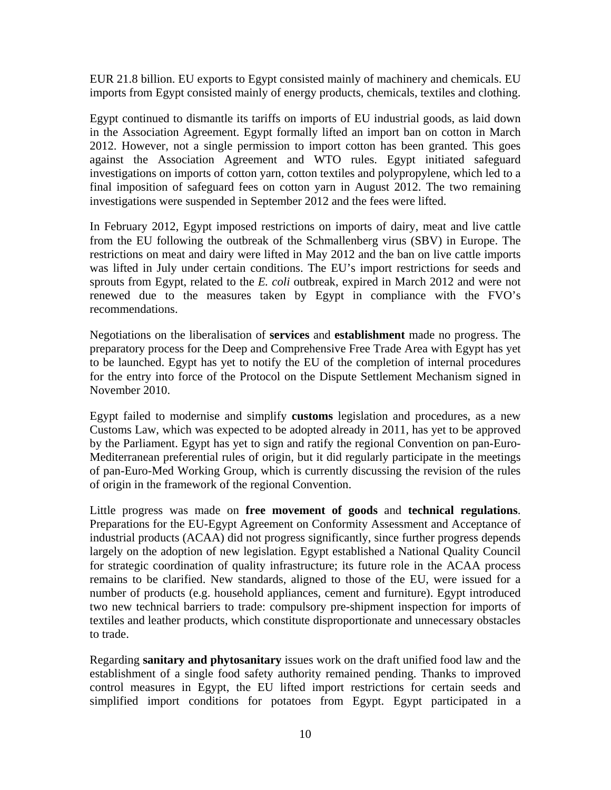EUR 21.8 billion. EU exports to Egypt consisted mainly of machinery and chemicals. EU imports from Egypt consisted mainly of energy products, chemicals, textiles and clothing.

Egypt continued to dismantle its tariffs on imports of EU industrial goods, as laid down in the Association Agreement. Egypt formally lifted an import ban on cotton in March 2012. However, not a single permission to import cotton has been granted. This goes against the Association Agreement and WTO rules. Egypt initiated safeguard investigations on imports of cotton yarn, cotton textiles and polypropylene, which led to a final imposition of safeguard fees on cotton yarn in August 2012. The two remaining investigations were suspended in September 2012 and the fees were lifted.

In February 2012, Egypt imposed restrictions on imports of dairy, meat and live cattle from the EU following the outbreak of the Schmallenberg virus (SBV) in Europe. The restrictions on meat and dairy were lifted in May 2012 and the ban on live cattle imports was lifted in July under certain conditions. The EU's import restrictions for seeds and sprouts from Egypt, related to the *E. coli* outbreak, expired in March 2012 and were not renewed due to the measures taken by Egypt in compliance with the FVO's recommendations.

Negotiations on the liberalisation of **services** and **establishment** made no progress. The preparatory process for the Deep and Comprehensive Free Trade Area with Egypt has yet to be launched. Egypt has yet to notify the EU of the completion of internal procedures for the entry into force of the Protocol on the Dispute Settlement Mechanism signed in November 2010.

Egypt failed to modernise and simplify **customs** legislation and procedures, as a new Customs Law, which was expected to be adopted already in 2011, has yet to be approved by the Parliament. Egypt has yet to sign and ratify the regional Convention on pan-Euro-Mediterranean preferential rules of origin, but it did regularly participate in the meetings of pan-Euro-Med Working Group, which is currently discussing the revision of the rules of origin in the framework of the regional Convention.

Little progress was made on **free movement of goods** and **technical regulations**. Preparations for the EU-Egypt Agreement on Conformity Assessment and Acceptance of industrial products (ACAA) did not progress significantly, since further progress depends largely on the adoption of new legislation. Egypt established a National Quality Council for strategic coordination of quality infrastructure; its future role in the ACAA process remains to be clarified. New standards, aligned to those of the EU, were issued for a number of products (e.g. household appliances, cement and furniture). Egypt introduced two new technical barriers to trade: compulsory pre-shipment inspection for imports of textiles and leather products, which constitute disproportionate and unnecessary obstacles to trade.

Regarding **sanitary and phytosanitary** issues work on the draft unified food law and the establishment of a single food safety authority remained pending. Thanks to improved control measures in Egypt, the EU lifted import restrictions for certain seeds and simplified import conditions for potatoes from Egypt. Egypt participated in a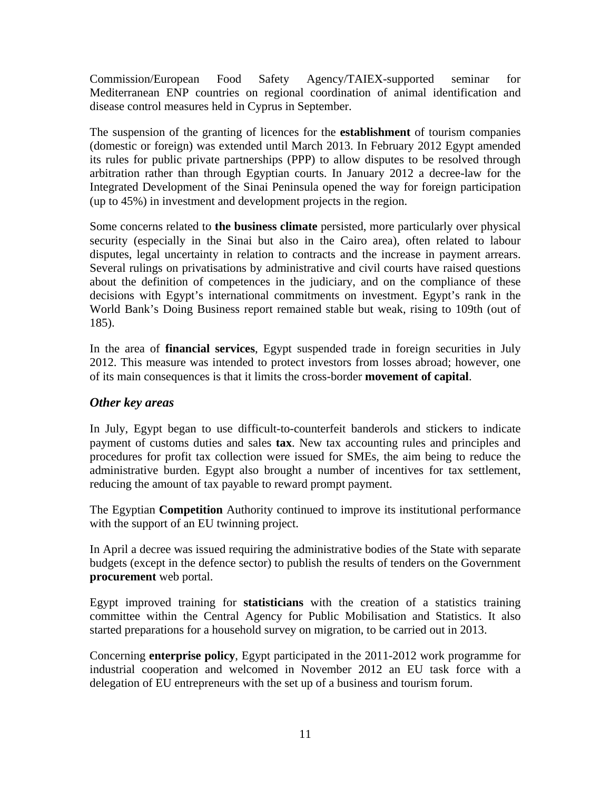Commission/European Food Safety Agency/TAIEX-supported seminar for Mediterranean ENP countries on regional coordination of animal identification and disease control measures held in Cyprus in September.

The suspension of the granting of licences for the **establishment** of tourism companies (domestic or foreign) was extended until March 2013. In February 2012 Egypt amended its rules for public private partnerships (PPP) to allow disputes to be resolved through arbitration rather than through Egyptian courts. In January 2012 a decree-law for the Integrated Development of the Sinai Peninsula opened the way for foreign participation (up to 45%) in investment and development projects in the region.

Some concerns related to **the business climate** persisted, more particularly over physical security (especially in the Sinai but also in the Cairo area), often related to labour disputes, legal uncertainty in relation to contracts and the increase in payment arrears. Several rulings on privatisations by administrative and civil courts have raised questions about the definition of competences in the judiciary, and on the compliance of these decisions with Egypt's international commitments on investment. Egypt's rank in the World Bank's Doing Business report remained stable but weak, rising to 109th (out of 185).

In the area of **financial services**, Egypt suspended trade in foreign securities in July 2012. This measure was intended to protect investors from losses abroad; however, one of its main consequences is that it limits the cross-border **movement of capital**.

## *Other key areas*

In July, Egypt began to use difficult-to-counterfeit banderols and stickers to indicate payment of customs duties and sales **tax**. New tax accounting rules and principles and procedures for profit tax collection were issued for SMEs, the aim being to reduce the administrative burden. Egypt also brought a number of incentives for tax settlement, reducing the amount of tax payable to reward prompt payment.

The Egyptian **Competition** Authority continued to improve its institutional performance with the support of an EU twinning project.

In April a decree was issued requiring the administrative bodies of the State with separate budgets (except in the defence sector) to publish the results of tenders on the Government **procurement** web portal.

Egypt improved training for **statisticians** with the creation of a statistics training committee within the Central Agency for Public Mobilisation and Statistics. It also started preparations for a household survey on migration, to be carried out in 2013.

Concerning **enterprise policy**, Egypt participated in the 2011-2012 work programme for industrial cooperation and welcomed in November 2012 an EU task force with a delegation of EU entrepreneurs with the set up of a business and tourism forum.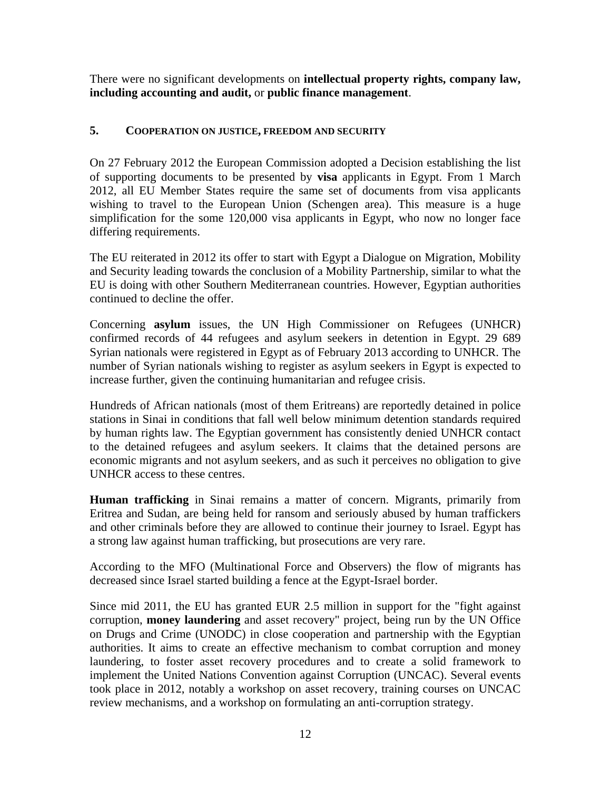There were no significant developments on **intellectual property rights, company law, including accounting and audit,** or **public finance management**.

## **5. COOPERATION ON JUSTICE, FREEDOM AND SECURITY**

On 27 February 2012 the European Commission adopted a Decision establishing the list of supporting documents to be presented by **visa** applicants in Egypt. From 1 March 2012, all EU Member States require the same set of documents from visa applicants wishing to travel to the European Union (Schengen area). This measure is a huge simplification for the some 120,000 visa applicants in Egypt, who now no longer face differing requirements.

The EU reiterated in 2012 its offer to start with Egypt a Dialogue on Migration, Mobility and Security leading towards the conclusion of a Mobility Partnership, similar to what the EU is doing with other Southern Mediterranean countries. However, Egyptian authorities continued to decline the offer.

Concerning **asylum** issues, the UN High Commissioner on Refugees (UNHCR) confirmed records of 44 refugees and asylum seekers in detention in Egypt. 29 689 Syrian nationals were registered in Egypt as of February 2013 according to UNHCR. The number of Syrian nationals wishing to register as asylum seekers in Egypt is expected to increase further, given the continuing humanitarian and refugee crisis.

Hundreds of African nationals (most of them Eritreans) are reportedly detained in police stations in Sinai in conditions that fall well below minimum detention standards required by human rights law. The Egyptian government has consistently denied UNHCR contact to the detained refugees and asylum seekers. It claims that the detained persons are economic migrants and not asylum seekers, and as such it perceives no obligation to give UNHCR access to these centres.

**Human trafficking** in Sinai remains a matter of concern. Migrants, primarily from Eritrea and Sudan, are being held for ransom and seriously abused by human traffickers and other criminals before they are allowed to continue their journey to Israel. Egypt has a strong law against human trafficking, but prosecutions are very rare.

According to the MFO (Multinational Force and Observers) the flow of migrants has decreased since Israel started building a fence at the Egypt-Israel border.

Since mid 2011, the EU has granted EUR 2.5 million in support for the "fight against corruption, **money laundering** and asset recovery" project, being run by the UN Office on Drugs and Crime (UNODC) in close cooperation and partnership with the Egyptian authorities. It aims to create an effective mechanism to combat corruption and money laundering, to foster asset recovery procedures and to create a solid framework to implement the United Nations Convention against Corruption (UNCAC). Several events took place in 2012, notably a workshop on asset recovery, training courses on UNCAC review mechanisms, and a workshop on formulating an anti-corruption strategy.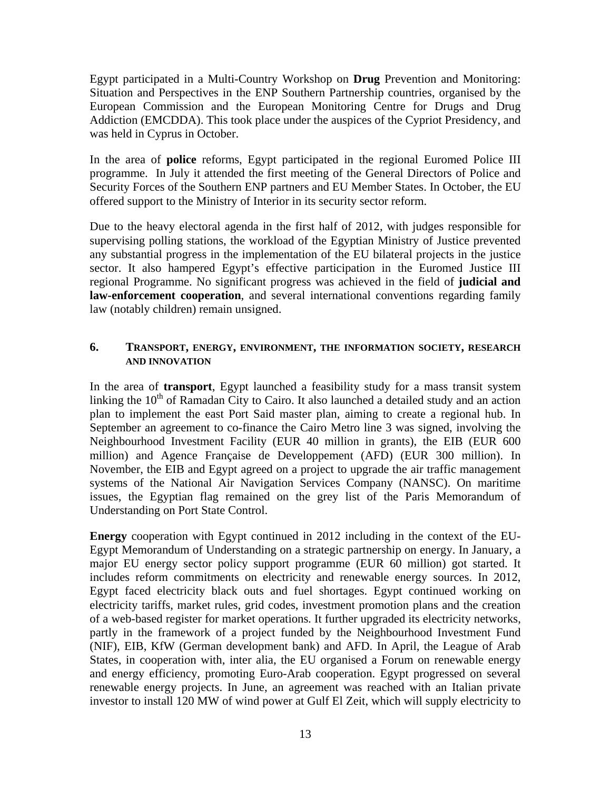Egypt participated in a Multi-Country Workshop on **Drug** Prevention and Monitoring: Situation and Perspectives in the ENP Southern Partnership countries, organised by the European Commission and the European Monitoring Centre for Drugs and Drug Addiction (EMCDDA). This took place under the auspices of the Cypriot Presidency, and was held in Cyprus in October.

In the area of **police** reforms, Egypt participated in the regional Euromed Police III programme. In July it attended the first meeting of the General Directors of Police and Security Forces of the Southern ENP partners and EU Member States. In October, the EU offered support to the Ministry of Interior in its security sector reform.

Due to the heavy electoral agenda in the first half of 2012, with judges responsible for supervising polling stations, the workload of the Egyptian Ministry of Justice prevented any substantial progress in the implementation of the EU bilateral projects in the justice sector. It also hampered Egypt's effective participation in the Euromed Justice III regional Programme. No significant progress was achieved in the field of **judicial and law-enforcement cooperation**, and several international conventions regarding family law (notably children) remain unsigned.

#### **6. TRANSPORT, ENERGY, ENVIRONMENT, THE INFORMATION SOCIETY, RESEARCH AND INNOVATION**

In the area of **transport**, Egypt launched a feasibility study for a mass transit system linking the  $10<sup>th</sup>$  of Ramadan City to Cairo. It also launched a detailed study and an action plan to implement the east Port Said master plan, aiming to create a regional hub. In September an agreement to co-finance the Cairo Metro line 3 was signed, involving the Neighbourhood Investment Facility (EUR 40 million in grants), the EIB (EUR 600 million) and Agence Française de Developpement (AFD) (EUR 300 million). In November, the EIB and Egypt agreed on a project to upgrade the air traffic management systems of the National Air Navigation Services Company (NANSC). On maritime issues, the Egyptian flag remained on the grey list of the Paris Memorandum of Understanding on Port State Control.

**Energy** cooperation with Egypt continued in 2012 including in the context of the EU-Egypt Memorandum of Understanding on a strategic partnership on energy. In January, a major EU energy sector policy support programme (EUR 60 million) got started. It includes reform commitments on electricity and renewable energy sources. In 2012, Egypt faced electricity black outs and fuel shortages. Egypt continued working on electricity tariffs, market rules, grid codes, investment promotion plans and the creation of a web-based register for market operations. It further upgraded its electricity networks, partly in the framework of a project funded by the Neighbourhood Investment Fund (NIF), EIB, KfW (German development bank) and AFD. In April, the League of Arab States, in cooperation with, inter alia, the EU organised a Forum on renewable energy and energy efficiency, promoting Euro-Arab cooperation. Egypt progressed on several renewable energy projects. In June, an agreement was reached with an Italian private investor to install 120 MW of wind power at Gulf El Zeit, which will supply electricity to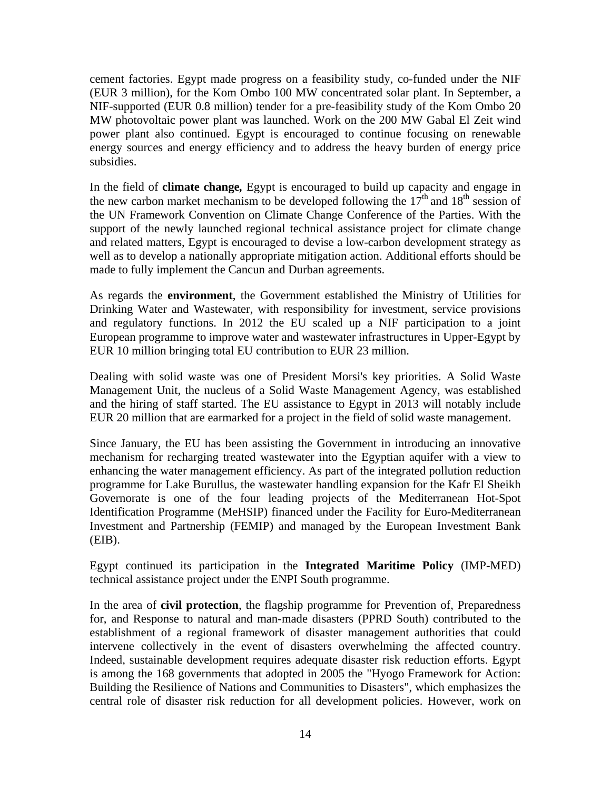cement factories. Egypt made progress on a feasibility study, co-funded under the NIF (EUR 3 million), for the Kom Ombo 100 MW concentrated solar plant. In September, a NIF-supported (EUR 0.8 million) tender for a pre-feasibility study of the Kom Ombo 20 MW photovoltaic power plant was launched. Work on the 200 MW Gabal El Zeit wind power plant also continued. Egypt is encouraged to continue focusing on renewable energy sources and energy efficiency and to address the heavy burden of energy price subsidies.

In the field of **climate change***,* Egypt is encouraged to build up capacity and engage in the new carbon market mechanism to be developed following the  $17<sup>th</sup>$  and  $18<sup>th</sup>$  session of the UN Framework Convention on Climate Change Conference of the Parties. With the support of the newly launched regional technical assistance project for climate change and related matters, Egypt is encouraged to devise a low-carbon development strategy as well as to develop a nationally appropriate mitigation action. Additional efforts should be made to fully implement the Cancun and Durban agreements.

As regards the **environment**, the Government established the Ministry of Utilities for Drinking Water and Wastewater, with responsibility for investment, service provisions and regulatory functions. In 2012 the EU scaled up a NIF participation to a joint European programme to improve water and wastewater infrastructures in Upper-Egypt by EUR 10 million bringing total EU contribution to EUR 23 million.

Dealing with solid waste was one of President Morsi's key priorities. A Solid Waste Management Unit, the nucleus of a Solid Waste Management Agency, was established and the hiring of staff started. The EU assistance to Egypt in 2013 will notably include EUR 20 million that are earmarked for a project in the field of solid waste management.

Since January, the EU has been assisting the Government in introducing an innovative mechanism for recharging treated wastewater into the Egyptian aquifer with a view to enhancing the water management efficiency. As part of the integrated pollution reduction programme for Lake Burullus, the wastewater handling expansion for the Kafr El Sheikh Governorate is one of the four leading projects of the Mediterranean Hot-Spot Identification Programme (MeHSIP) financed under the Facility for Euro-Mediterranean Investment and Partnership (FEMIP) and managed by the European Investment Bank (EIB).

Egypt continued its participation in the **Integrated Maritime Policy** (IMP-MED) technical assistance project under the ENPI South programme.

In the area of **civil protection**, the flagship programme for Prevention of, Preparedness for, and Response to natural and man-made disasters (PPRD South) contributed to the establishment of a regional framework of disaster management authorities that could intervene collectively in the event of disasters overwhelming the affected country. Indeed, sustainable development requires adequate disaster risk reduction efforts. Egypt is among the 168 governments that adopted in 2005 the "Hyogo Framework for Action: Building the Resilience of Nations and Communities to Disasters", which emphasizes the central role of disaster risk reduction for all development policies. However, work on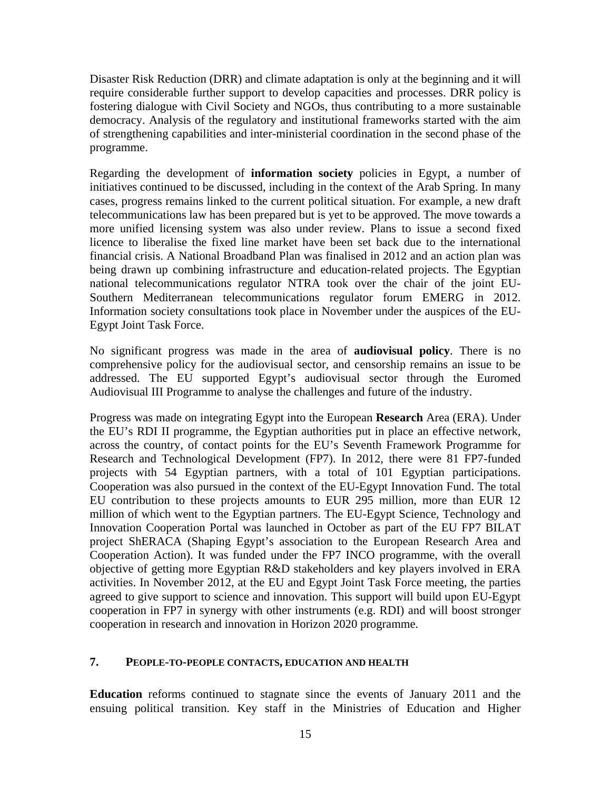Disaster Risk Reduction (DRR) and climate adaptation is only at the beginning and it will require considerable further support to develop capacities and processes. DRR policy is fostering dialogue with Civil Society and NGOs, thus contributing to a more sustainable democracy. Analysis of the regulatory and institutional frameworks started with the aim of strengthening capabilities and inter-ministerial coordination in the second phase of the programme.

Regarding the development of **information society** policies in Egypt, a number of initiatives continued to be discussed, including in the context of the Arab Spring. In many cases, progress remains linked to the current political situation. For example, a new draft telecommunications law has been prepared but is yet to be approved. The move towards a more unified licensing system was also under review. Plans to issue a second fixed licence to liberalise the fixed line market have been set back due to the international financial crisis. A National Broadband Plan was finalised in 2012 and an action plan was being drawn up combining infrastructure and education-related projects. The Egyptian national telecommunications regulator NTRA took over the chair of the joint EU-Southern Mediterranean telecommunications regulator forum EMERG in 2012. Information society consultations took place in November under the auspices of the EU-Egypt Joint Task Force.

No significant progress was made in the area of **audiovisual policy**. There is no comprehensive policy for the audiovisual sector, and censorship remains an issue to be addressed. The EU supported Egypt's audiovisual sector through the Euromed Audiovisual III Programme to analyse the challenges and future of the industry.

Progress was made on integrating Egypt into the European **Research** Area (ERA). Under the EU's RDI II programme, the Egyptian authorities put in place an effective network, across the country, of contact points for the EU's Seventh Framework Programme for Research and Technological Development (FP7). In 2012, there were 81 FP7-funded projects with 54 Egyptian partners, with a total of 101 Egyptian participations. Cooperation was also pursued in the context of the EU-Egypt Innovation Fund. The total EU contribution to these projects amounts to EUR 295 million, more than EUR 12 million of which went to the Egyptian partners. The EU-Egypt Science, Technology and Innovation Cooperation Portal was launched in October as part of the EU FP7 BILAT project ShERACA (Shaping Egypt's association to the European Research Area and Cooperation Action). It was funded under the FP7 INCO programme, with the overall objective of getting more Egyptian R&D stakeholders and key players involved in ERA activities. In November 2012, at the EU and Egypt Joint Task Force meeting, the parties agreed to give support to science and innovation. This support will build upon EU-Egypt cooperation in FP7 in synergy with other instruments (e.g. RDI) and will boost stronger cooperation in research and innovation in Horizon 2020 programme.

#### **7. PEOPLE-TO-PEOPLE CONTACTS, EDUCATION AND HEALTH**

**Education** reforms continued to stagnate since the events of January 2011 and the ensuing political transition. Key staff in the Ministries of Education and Higher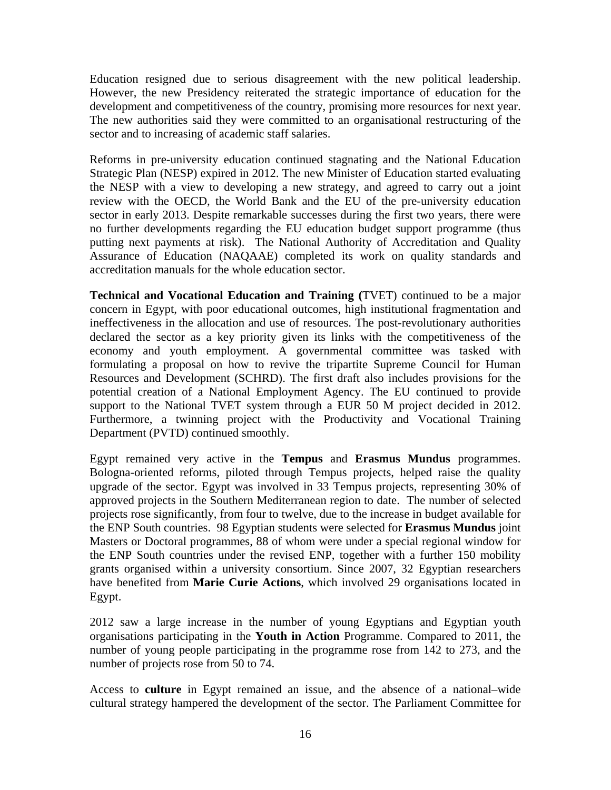Education resigned due to serious disagreement with the new political leadership. However, the new Presidency reiterated the strategic importance of education for the development and competitiveness of the country, promising more resources for next year. The new authorities said they were committed to an organisational restructuring of the sector and to increasing of academic staff salaries.

Reforms in pre-university education continued stagnating and the National Education Strategic Plan (NESP) expired in 2012. The new Minister of Education started evaluating the NESP with a view to developing a new strategy, and agreed to carry out a joint review with the OECD, the World Bank and the EU of the pre-university education sector in early 2013. Despite remarkable successes during the first two years, there were no further developments regarding the EU education budget support programme (thus putting next payments at risk). The National Authority of Accreditation and Quality Assurance of Education (NAQAAE) completed its work on quality standards and accreditation manuals for the whole education sector.

**Technical and Vocational Education and Training (**TVET) continued to be a major concern in Egypt, with poor educational outcomes, high institutional fragmentation and ineffectiveness in the allocation and use of resources. The post-revolutionary authorities declared the sector as a key priority given its links with the competitiveness of the economy and youth employment. A governmental committee was tasked with formulating a proposal on how to revive the tripartite Supreme Council for Human Resources and Development (SCHRD). The first draft also includes provisions for the potential creation of a National Employment Agency. The EU continued to provide support to the National TVET system through a EUR 50 M project decided in 2012. Furthermore, a twinning project with the Productivity and Vocational Training Department (PVTD) continued smoothly.

Egypt remained very active in the **Tempus** and **Erasmus Mundus** programmes. Bologna-oriented reforms, piloted through Tempus projects, helped raise the quality upgrade of the sector. Egypt was involved in 33 Tempus projects, representing 30% of approved projects in the Southern Mediterranean region to date. The number of selected projects rose significantly, from four to twelve, due to the increase in budget available for the ENP South countries. 98 Egyptian students were selected for **Erasmus Mundus** joint Masters or Doctoral programmes, 88 of whom were under a special regional window for the ENP South countries under the revised ENP, together with a further 150 mobility grants organised within a university consortium. Since 2007, 32 Egyptian researchers have benefited from **Marie Curie Actions**, which involved 29 organisations located in Egypt.

2012 saw a large increase in the number of young Egyptians and Egyptian youth organisations participating in the **Youth in Action** Programme. Compared to 2011, the number of young people participating in the programme rose from 142 to 273, and the number of projects rose from 50 to 74.

Access to **culture** in Egypt remained an issue, and the absence of a national–wide cultural strategy hampered the development of the sector. The Parliament Committee for